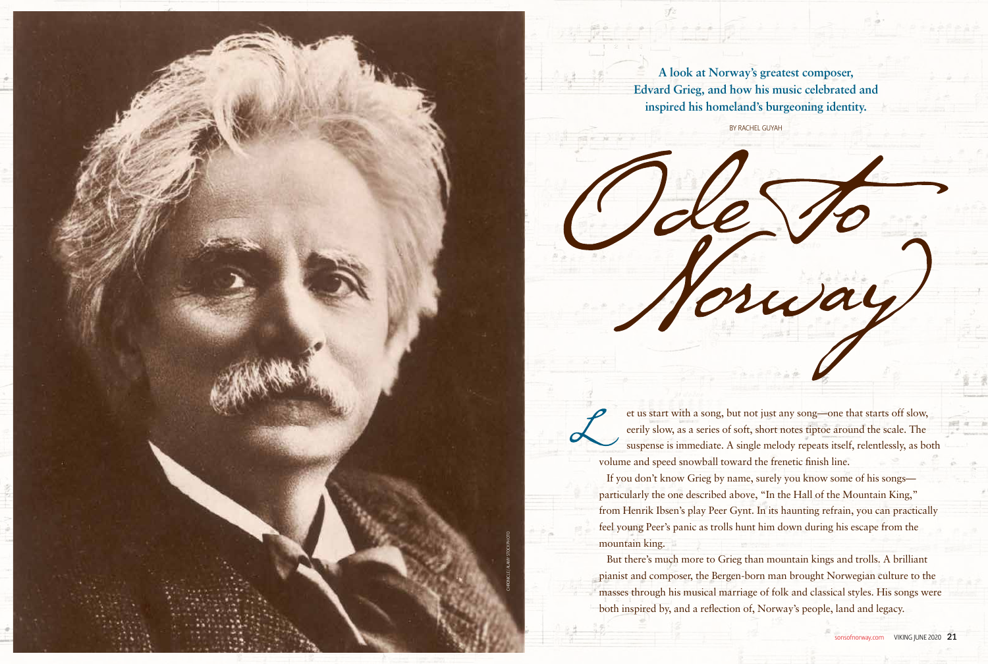**A look at Norway's greatest composer, Edvard Grieg, and how his music celebrated and inspired his homeland's burgeoning identity.** 

BY RACHEL GUYAH

et us start with a song, but not just any song—one that starts off slow, eerily slow, as a series of soft, short notes tiptoe around the scale. The suspense is immediate. A single melody repeats itself, relentlessly, as both volume and speed snowball toward the frenetic finish line.

If you don't know Grieg by name, surely you know some of his songs particularly the one described above, "In the Hall of the Mountain King," from Henrik Ibsen's play Peer Gynt. In its haunting refrain, you can practically feel young Peer's panic as trolls hunt him down during his escape from the mountain king.

But there's much more to Grieg than mountain kings and trolls. A brilliant pianist and composer, the Bergen-born man brought Norwegian culture to the masses through his musical marriage of folk and classical styles. His songs were both inspired by, and a reflection of, Norway's people, land and legacy.

rway

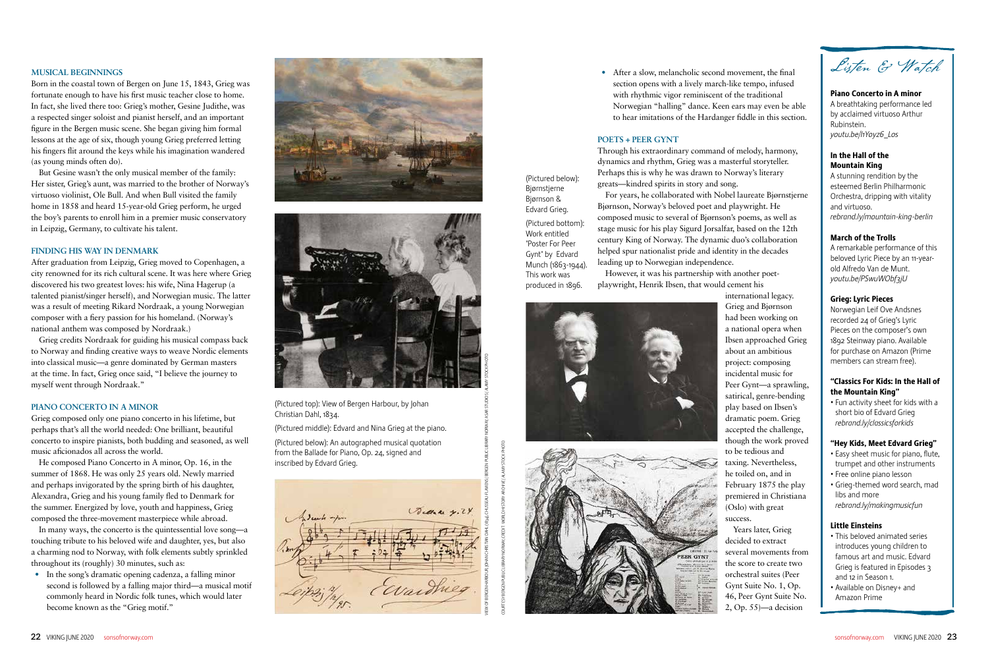### **MUSICAL BEGINNINGS**

Born in the coastal town of Bergen on June 15, 1843, Grieg was fortunate enough to have his first music teacher close to home. In fact, she lived there too: Grieg's mother, Gesine Judithe, was a respected singer soloist and pianist herself, and an important figure in the Bergen music scene. She began giving him formal lessons at the age of six, though young Grieg preferred letting his fingers flit around the keys while his imagination wandered (as young minds often do).

But Gesine wasn't the only musical member of the family: Her sister, Grieg's aunt, was married to the brother of Norway's virtuoso violinist, Ole Bull. And when Bull visited the family home in 1858 and heard 15-year-old Grieg perform, he urged the boy's parents to enroll him in a premier music conservatory in Leipzig, Germany, to cultivate his talent.

#### **FINDING HIS WAY IN DENMARK**

After graduation from Leipzig, Grieg moved to Copenhagen, a city renowned for its rich cultural scene. It was here where Grieg discovered his two greatest loves: his wife, Nina Hagerup (a talented pianist/singer herself), and Norwegian music. The latter was a result of meeting Rikard Nordraak, a young Norwegian composer with a fiery passion for his homeland. (Norway's national anthem was composed by Nordraak.)

Grieg credits Nordraak for guiding his musical compass back to Norway and finding creative ways to weave Nordic elements into classical music—a genre dominated by German masters at the time. In fact, Grieg once said, "I believe the journey to myself went through Nordraak."

### **PIANO CONCERTO IN A MINOR**

Grieg composed only one piano concerto in his lifetime, but perhaps that's all the world needed: One brilliant, beautiful concerto to inspire pianists, both budding and seasoned, as well music aficionados all across the world.

He composed Piano Concerto in A minor, Op. 16, in the summer of 1868. He was only 25 years old. Newly married and perhaps invigorated by the spring birth of his daughter, Alexandra, Grieg and his young family fled to Denmark for the summer. Energized by love, youth and happiness, Grieg composed the three-movement masterpiece while abroad.

In many ways, the concerto is the quintessential love song—a touching tribute to his beloved wife and daughter, yes, but also a charming nod to Norway, with folk elements subtly sprinkled throughout its (roughly) 30 minutes, such as:

**•** In the song's dramatic opening cadenza, a falling minor second is followed by a falling major third—a musical motif commonly heard in Nordic folk tunes, which would later become known as the "Grieg motif."





Listen & Watch

# Piano Concerto in A minor

A breathtaking performance led by acclaimed virtuoso Arthur Rubinstein. *youtu.be/I1Yoyz6\_Los*

## In the Hall of the Mountain King

A stunning rendition by the esteemed Berlin Philharmonic Orchestra, dripping with vitality and virtuoso. *rebrand.ly/mountain-king-berlin*

# March of the Trolls

A remarkable performance of this beloved Lyric Piece by an 11-yearold Alfredo Van de Munt. *youtu.be/PSwuWObf3jU*

# Grieg: Lyric Pieces

Norwegian Leif Ove Andsnes recorded 24 of Grieg's Lyric Pieces on the composer's own 1892 Steinway piano. Available for purchase on Amazon (Prime members can stream free).

# "Classics For Kids: In the Hall of the Mountain King"

• Fun activity sheet for kids with a short bio of Edvard Grieg *rebrand.ly/classicsforkids*

# "Hey Kids, Meet Edvard Grieg"

- Easy sheet music for piano, flute, trumpet and other instruments
- Free online piano lesson
- Grieg-themed word search, mad libs and more *rebrand.ly/makingmusicfun*

# Little Einsteins

- This beloved animated series introduces young children to famous art and music. Edvard Grieg is featured in Episodes 3 and 12 in Season 1.
- Available on Disney+ and Amazon Prime

**•** After a slow, melancholic second movement, the final section opens with a lively march-like tempo, infused with rhythmic vigor reminiscent of the traditional Norwegian "halling" dance. Keen ears may even be able to hear imitations of the Hardanger fiddle in this section.

### **POETS + PEER GYNT**

Through his extraordinary command of melody, harmony, dynamics and rhythm, Grieg was a masterful storyteller. Perhaps this is why he was drawn to Norway's literary greats—kindred spirits in story and song.

For years, he collaborated with Nobel laureate Bjørnstjerne Bjørnson, Norway's beloved poet and playwright. He composed music to several of Bjørnson's poems, as well as stage music for his play Sigurd Jorsalfar, based on the 12th century King of Norway. The dynamic duo's collaboration helped spur nationalist pride and identity in the decades leading up to Norwegian independence.

However, it was his partnership with another poetplaywright, Henrik Ibsen, that would cement his





international legacy. Grieg and Bjørnson had been working on a national opera when Ibsen approached Grieg about an ambitious project: composing incidental music for Peer Gynt—a sprawling, satirical, genre-bending play based on Ibsen's dramatic poem. Grieg accepted the challenge, though the work proved to be tedious and taxing. Nevertheless, he toiled on, and in February 1875 the play premiered in Christiana (Oslo) with great success. Years later, Grieg decided to extract

several movements from the score to create two orchestral suites (Peer Gynt Suite No. 1, Op. 46, Peer Gynt Suite No. 2, Op. 55)—a decision

(Pictured top): View of Bergen Harbour, by Johan Christian Dahl, 1834.

(Pictured middle): Edvard and Nina Grieg at the piano.

(Pictured below): An autographed musical quotation from the Ballade for Piano, Op. 24, signed and inscribed by Edvard Grieg.

(Pictured below): Bjørnstjerne Bjørnson & Edvard Grieg. (Pictured bottom): Work entitled "Poster For Peer Gynt" by Edvard Munch (1863-1944). This work was produced in 1896.

![](_page_1_Picture_16.jpeg)

COURTESY BERGEN PUBLIC LIBRARY NORWAY, CREDIT: WORLD HISTORY ARCHIVE / ALAMY STOCK PHOTO